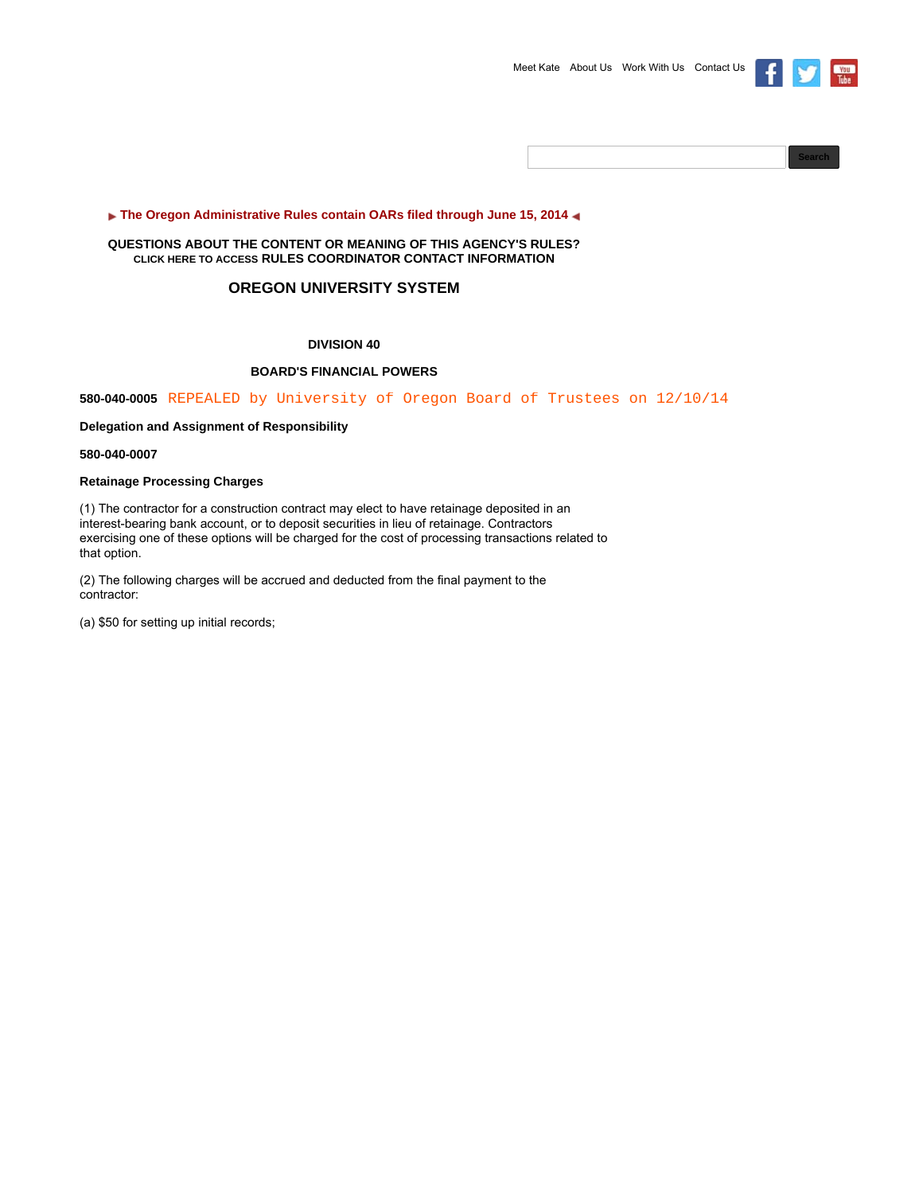



# **The Oregon Administrative Rules contain OARs filed through June 15, 2014 4**

# **QUESTIONS ABOUT THE CONTENT OR MEANING OF THIS AGENCY'S RULES? CLICK HERE TO ACCESS RULES COORDINATOR CONTACT INFORMATION**

# **OREGON UNIVERSITY SYSTEM**

# **DIVISION 40**

# **BOARD'S FINANCIAL POWERS**

**580-040-0005** REPEALED by University of Oregon Board of Trustees on 12/10/14

**Delegation and Assignment of Responsibility**

**580-040-0007**

## **Retainage Processing Charges**

(1) The contractor for a construction contract may elect to have retainage deposited in an interest-bearing bank account, or to deposit securities in lieu of retainage. Contractors exercising one of these options will be charged for the cost of processing transactions related to that option.

(2) The following charges will be accrued and deducted from the final payment to the contractor:

(a) \$50 for setting up initial records;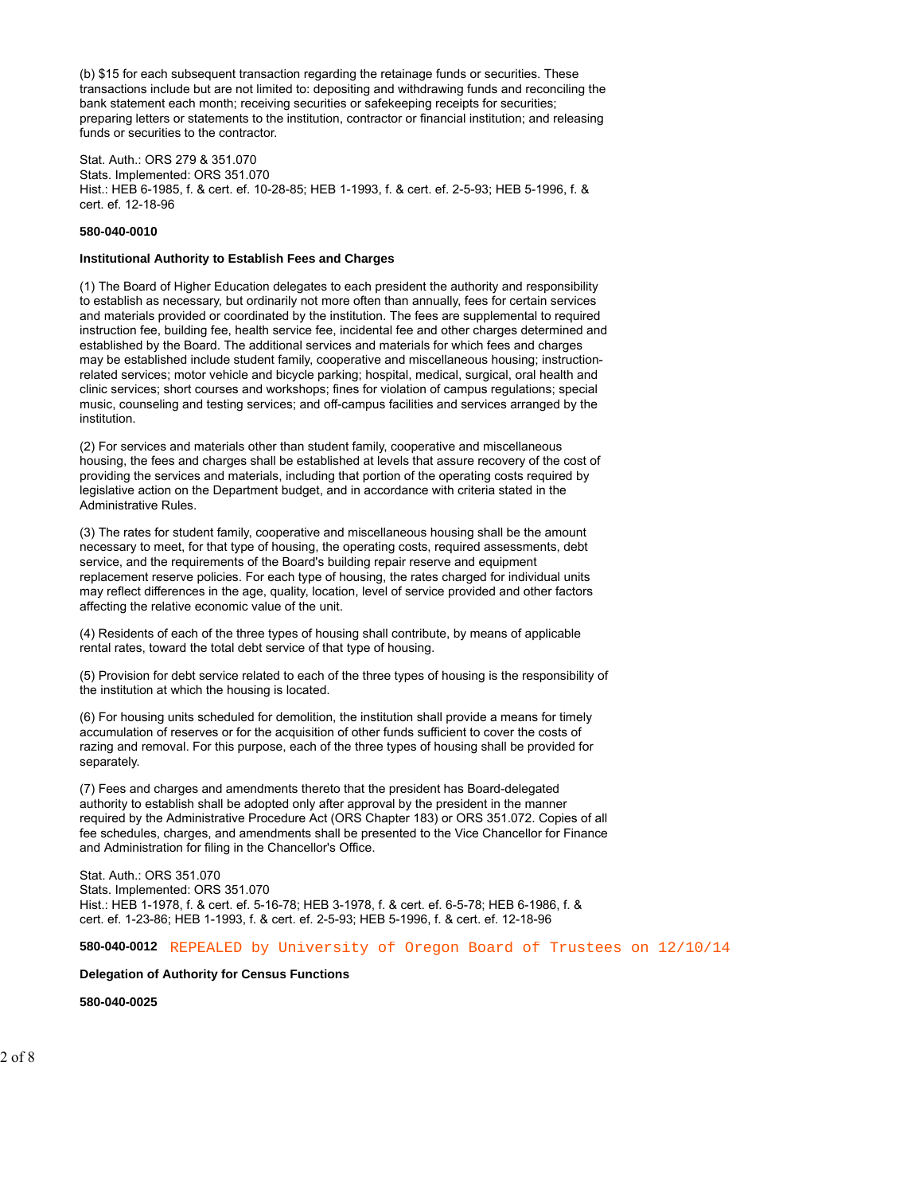(b) \$15 for each subsequent transaction regarding the retainage funds or securities. These transactions include but are not limited to: depositing and withdrawing funds and reconciling the bank statement each month; receiving securities or safekeeping receipts for securities; preparing letters or statements to the institution, contractor or financial institution; and releasing funds or securities to the contractor.

Stat. Auth.: ORS 279 & 351.070 Stats. Implemented: ORS 351.070 Hist.: HEB 6-1985, f. & cert. ef. 10-28-85; HEB 1-1993, f. & cert. ef. 2-5-93; HEB 5-1996, f. & cert. ef. 12-18-96

#### **580-040-0010**

#### **Institutional Authority to Establish Fees and Charges**

(1) The Board of Higher Education delegates to each president the authority and responsibility to establish as necessary, but ordinarily not more often than annually, fees for certain services and materials provided or coordinated by the institution. The fees are supplemental to required instruction fee, building fee, health service fee, incidental fee and other charges determined and established by the Board. The additional services and materials for which fees and charges may be established include student family, cooperative and miscellaneous housing; instructionrelated services; motor vehicle and bicycle parking; hospital, medical, surgical, oral health and clinic services; short courses and workshops; fines for violation of campus regulations; special music, counseling and testing services; and off-campus facilities and services arranged by the institution.

(2) For services and materials other than student family, cooperative and miscellaneous housing, the fees and charges shall be established at levels that assure recovery of the cost of providing the services and materials, including that portion of the operating costs required by legislative action on the Department budget, and in accordance with criteria stated in the Administrative Rules.

(3) The rates for student family, cooperative and miscellaneous housing shall be the amount necessary to meet, for that type of housing, the operating costs, required assessments, debt service, and the requirements of the Board's building repair reserve and equipment replacement reserve policies. For each type of housing, the rates charged for individual units may reflect differences in the age, quality, location, level of service provided and other factors affecting the relative economic value of the unit.

(4) Residents of each of the three types of housing shall contribute, by means of applicable rental rates, toward the total debt service of that type of housing.

(5) Provision for debt service related to each of the three types of housing is the responsibility of the institution at which the housing is located.

(6) For housing units scheduled for demolition, the institution shall provide a means for timely accumulation of reserves or for the acquisition of other funds sufficient to cover the costs of razing and removal. For this purpose, each of the three types of housing shall be provided for separately.

(7) Fees and charges and amendments thereto that the president has Board-delegated authority to establish shall be adopted only after approval by the president in the manner required by the Administrative Procedure Act (ORS Chapter 183) or ORS 351.072. Copies of all fee schedules, charges, and amendments shall be presented to the Vice Chancellor for Finance and Administration for filing in the Chancellor's Office.

Stat. Auth.: ORS 351.070 Stats. Implemented: ORS 351.070 Hist.: HEB 1-1978, f. & cert. ef. 5-16-78; HEB 3-1978, f. & cert. ef. 6-5-78; HEB 6-1986, f. & cert. ef. 1-23-86; HEB 1-1993, f. & cert. ef. 2-5-93; HEB 5-1996, f. & cert. ef. 12-18-96

## **580-040-0012** REPEALED by University of Oregon Board of Trustees on 12/10/14

#### **Delegation of Authority for Census Functions**

**580-040-0025**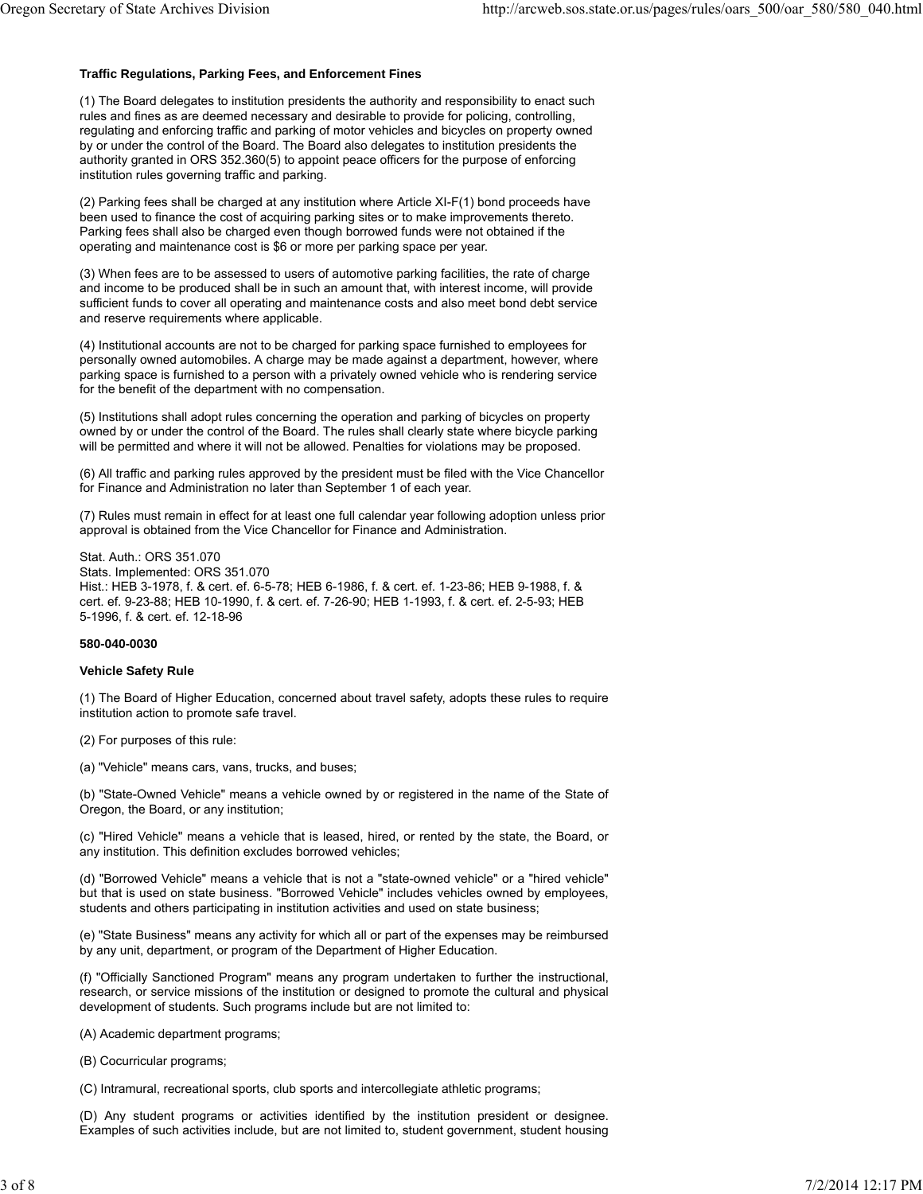# **Traffic Regulations, Parking Fees, and Enforcement Fines**

(1) The Board delegates to institution presidents the authority and responsibility to enact such rules and fines as are deemed necessary and desirable to provide for policing, controlling, regulating and enforcing traffic and parking of motor vehicles and bicycles on property owned by or under the control of the Board. The Board also delegates to institution presidents the authority granted in ORS 352.360(5) to appoint peace officers for the purpose of enforcing institution rules governing traffic and parking.

(2) Parking fees shall be charged at any institution where Article XI-F(1) bond proceeds have been used to finance the cost of acquiring parking sites or to make improvements thereto. Parking fees shall also be charged even though borrowed funds were not obtained if the operating and maintenance cost is \$6 or more per parking space per year.

(3) When fees are to be assessed to users of automotive parking facilities, the rate of charge and income to be produced shall be in such an amount that, with interest income, will provide sufficient funds to cover all operating and maintenance costs and also meet bond debt service and reserve requirements where applicable.

(4) Institutional accounts are not to be charged for parking space furnished to employees for personally owned automobiles. A charge may be made against a department, however, where parking space is furnished to a person with a privately owned vehicle who is rendering service for the benefit of the department with no compensation.

(5) Institutions shall adopt rules concerning the operation and parking of bicycles on property owned by or under the control of the Board. The rules shall clearly state where bicycle parking will be permitted and where it will not be allowed. Penalties for violations may be proposed.

(6) All traffic and parking rules approved by the president must be filed with the Vice Chancellor for Finance and Administration no later than September 1 of each year.

(7) Rules must remain in effect for at least one full calendar year following adoption unless prior approval is obtained from the Vice Chancellor for Finance and Administration.

Stat. Auth.: ORS 351.070 Stats. Implemented: ORS 351.070 Hist.: HEB 3-1978, f. & cert. ef. 6-5-78; HEB 6-1986, f. & cert. ef. 1-23-86; HEB 9-1988, f. & cert. ef. 9-23-88; HEB 10-1990, f. & cert. ef. 7-26-90; HEB 1-1993, f. & cert. ef. 2-5-93; HEB 5-1996, f. & cert. ef. 12-18-96

## **580-040-0030**

## **Vehicle Safety Rule**

(1) The Board of Higher Education, concerned about travel safety, adopts these rules to require institution action to promote safe travel.

(2) For purposes of this rule:

(a) "Vehicle" means cars, vans, trucks, and buses;

(b) "State-Owned Vehicle" means a vehicle owned by or registered in the name of the State of Oregon, the Board, or any institution;

(c) "Hired Vehicle" means a vehicle that is leased, hired, or rented by the state, the Board, or any institution. This definition excludes borrowed vehicles;

(d) "Borrowed Vehicle" means a vehicle that is not a "state-owned vehicle" or a "hired vehicle" but that is used on state business. "Borrowed Vehicle" includes vehicles owned by employees, students and others participating in institution activities and used on state business;

(e) "State Business" means any activity for which all or part of the expenses may be reimbursed by any unit, department, or program of the Department of Higher Education.

(f) "Officially Sanctioned Program" means any program undertaken to further the instructional, research, or service missions of the institution or designed to promote the cultural and physical development of students. Such programs include but are not limited to:

(A) Academic department programs;

(B) Cocurricular programs;

(C) Intramural, recreational sports, club sports and intercollegiate athletic programs;

(D) Any student programs or activities identified by the institution president or designee. Examples of such activities include, but are not limited to, student government, student housing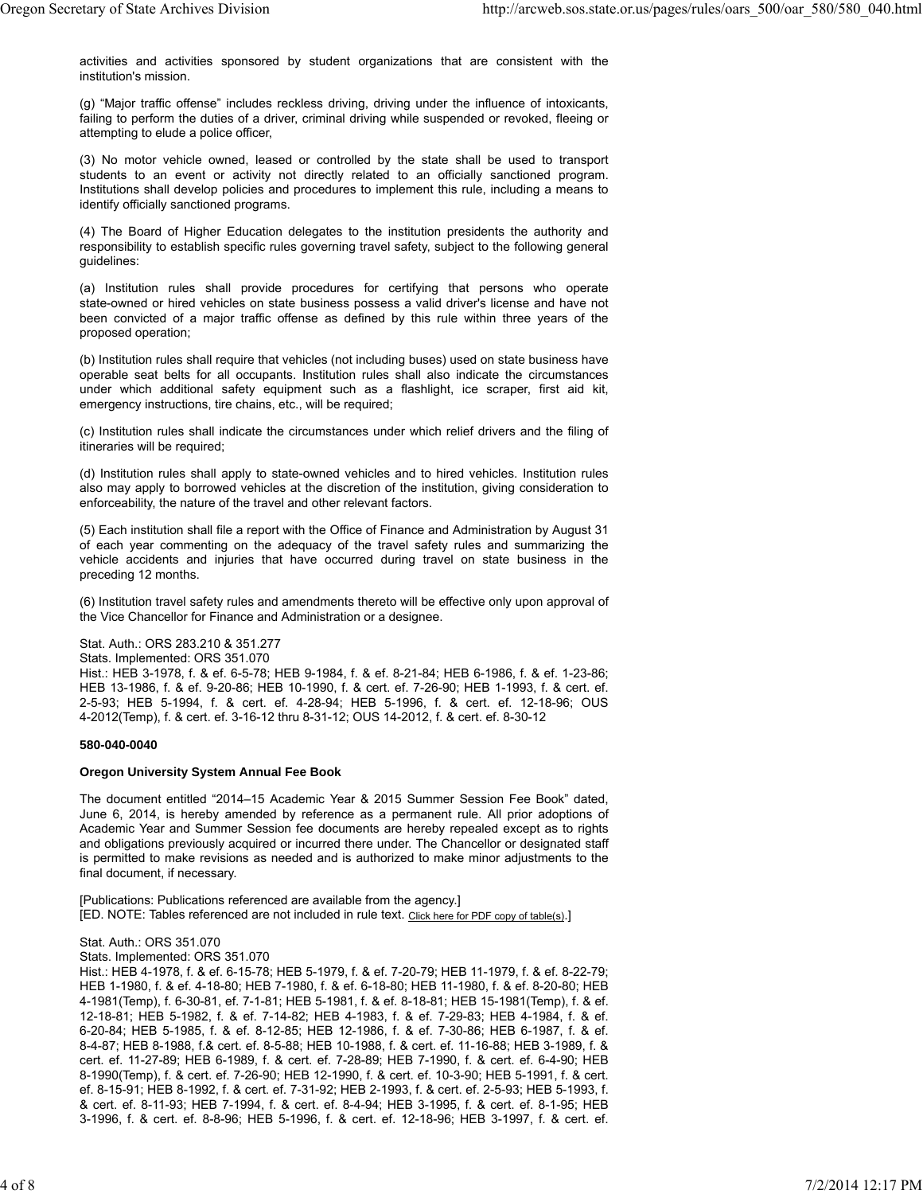activities and activities sponsored by student organizations that are consistent with the institution's mission.

(g) "Major traffic offense" includes reckless driving, driving under the influence of intoxicants, failing to perform the duties of a driver, criminal driving while suspended or revoked, fleeing or attempting to elude a police officer,

(3) No motor vehicle owned, leased or controlled by the state shall be used to transport students to an event or activity not directly related to an officially sanctioned program. Institutions shall develop policies and procedures to implement this rule, including a means to identify officially sanctioned programs.

(4) The Board of Higher Education delegates to the institution presidents the authority and responsibility to establish specific rules governing travel safety, subject to the following general guidelines:

(a) Institution rules shall provide procedures for certifying that persons who operate state-owned or hired vehicles on state business possess a valid driver's license and have not been convicted of a major traffic offense as defined by this rule within three years of the proposed operation;

(b) Institution rules shall require that vehicles (not including buses) used on state business have operable seat belts for all occupants. Institution rules shall also indicate the circumstances under which additional safety equipment such as a flashlight, ice scraper, first aid kit, emergency instructions, tire chains, etc., will be required;

(c) Institution rules shall indicate the circumstances under which relief drivers and the filing of itineraries will be required;

(d) Institution rules shall apply to state-owned vehicles and to hired vehicles. Institution rules also may apply to borrowed vehicles at the discretion of the institution, giving consideration to enforceability, the nature of the travel and other relevant factors.

(5) Each institution shall file a report with the Office of Finance and Administration by August 31 of each year commenting on the adequacy of the travel safety rules and summarizing the vehicle accidents and injuries that have occurred during travel on state business in the preceding 12 months.

(6) Institution travel safety rules and amendments thereto will be effective only upon approval of the Vice Chancellor for Finance and Administration or a designee.

# Stat. Auth.: ORS 283.210 & 351.277

Stats. Implemented: ORS 351.070

Hist.: HEB 3-1978, f. & ef. 6-5-78; HEB 9-1984, f. & ef. 8-21-84; HEB 6-1986, f. & ef. 1-23-86; HEB 13-1986, f. & ef. 9-20-86; HEB 10-1990, f. & cert. ef. 7-26-90; HEB 1-1993, f. & cert. ef. 2-5-93; HEB 5-1994, f. & cert. ef. 4-28-94; HEB 5-1996, f. & cert. ef. 12-18-96; OUS 4-2012(Temp), f. & cert. ef. 3-16-12 thru 8-31-12; OUS 14-2012, f. & cert. ef. 8-30-12

## **580-040-0040**

## **Oregon University System Annual Fee Book**

The document entitled "2014–15 Academic Year & 2015 Summer Session Fee Book" dated, June 6, 2014, is hereby amended by reference as a permanent rule. All prior adoptions of Academic Year and Summer Session fee documents are hereby repealed except as to rights and obligations previously acquired or incurred there under. The Chancellor or designated staff is permitted to make revisions as needed and is authorized to make minor adjustments to the final document, if necessary.

[Publications: Publications referenced are available from the agency.] [ED. NOTE: Tables referenced are not included in rule text. Click here for PDF copy of table(s).]

## Stat. Auth.: ORS 351.070

Stats. Implemented: ORS 351.070

Hist.: HEB 4-1978, f. & ef. 6-15-78; HEB 5-1979, f. & ef. 7-20-79; HEB 11-1979, f. & ef. 8-22-79; HEB 1-1980, f. & ef. 4-18-80; HEB 7-1980, f. & ef. 6-18-80; HEB 11-1980, f. & ef. 8-20-80; HEB 4-1981(Temp), f. 6-30-81, ef. 7-1-81; HEB 5-1981, f. & ef. 8-18-81; HEB 15-1981(Temp), f. & ef. 12-18-81; HEB 5-1982, f. & ef. 7-14-82; HEB 4-1983, f. & ef. 7-29-83; HEB 4-1984, f. & ef. 6-20-84; HEB 5-1985, f. & ef. 8-12-85; HEB 12-1986, f. & ef. 7-30-86; HEB 6-1987, f. & ef. 8-4-87; HEB 8-1988, f.& cert. ef. 8-5-88; HEB 10-1988, f. & cert. ef. 11-16-88; HEB 3-1989, f. & cert. ef. 11-27-89; HEB 6-1989, f. & cert. ef. 7-28-89; HEB 7-1990, f. & cert. ef. 6-4-90; HEB 8-1990(Temp), f. & cert. ef. 7-26-90; HEB 12-1990, f. & cert. ef. 10-3-90; HEB 5-1991, f. & cert. ef. 8-15-91; HEB 8-1992, f. & cert. ef. 7-31-92; HEB 2-1993, f. & cert. ef. 2-5-93; HEB 5-1993, f. & cert. ef. 8-11-93; HEB 7-1994, f. & cert. ef. 8-4-94; HEB 3-1995, f. & cert. ef. 8-1-95; HEB 3-1996, f. & cert. ef. 8-8-96; HEB 5-1996, f. & cert. ef. 12-18-96; HEB 3-1997, f. & cert. ef.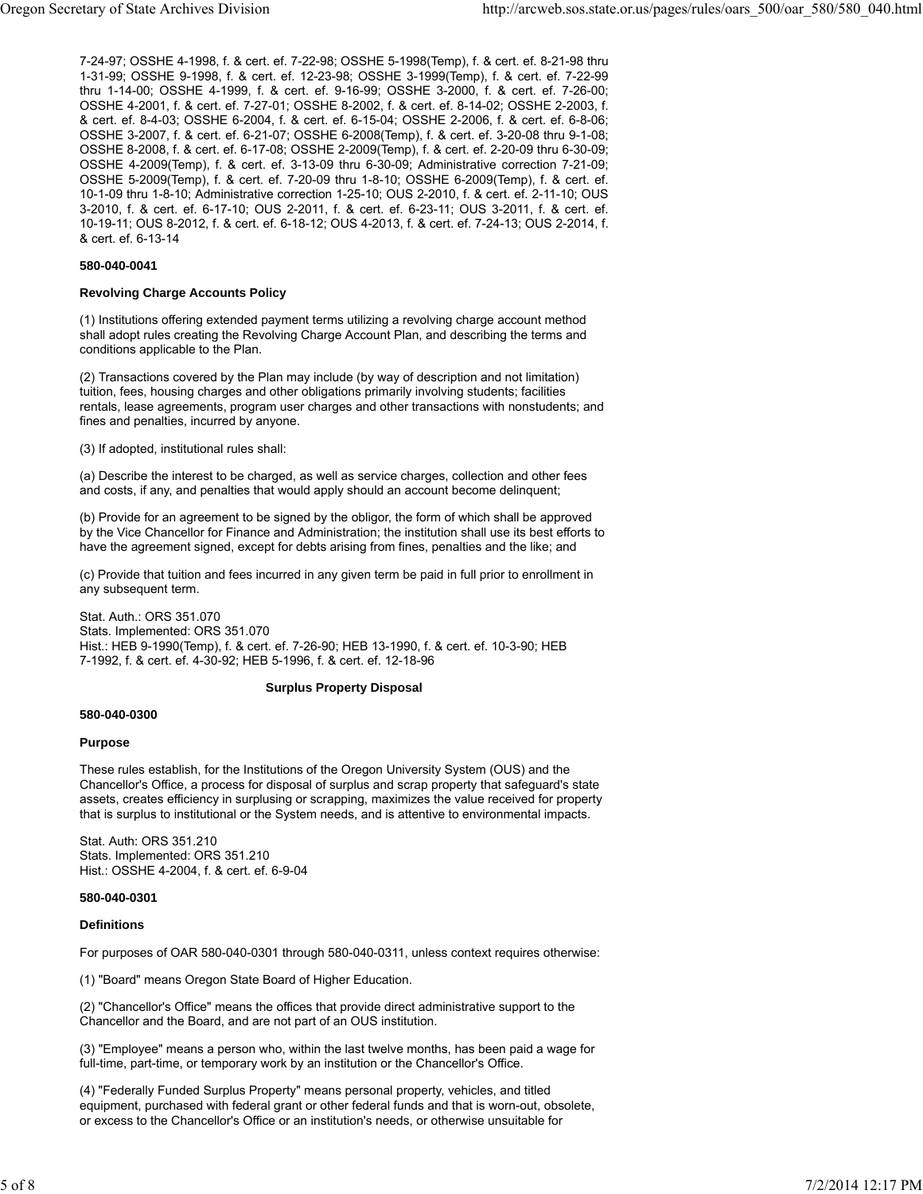7-24-97; OSSHE 4-1998, f. & cert. ef. 7-22-98; OSSHE 5-1998(Temp), f. & cert. ef. 8-21-98 thru 1-31-99; OSSHE 9-1998, f. & cert. ef. 12-23-98; OSSHE 3-1999(Temp), f. & cert. ef. 7-22-99 thru 1-14-00; OSSHE 4-1999, f. & cert. ef. 9-16-99; OSSHE 3-2000, f. & cert. ef. 7-26-00; OSSHE 4-2001, f. & cert. ef. 7-27-01; OSSHE 8-2002, f. & cert. ef. 8-14-02; OSSHE 2-2003, f. & cert. ef. 8-4-03; OSSHE 6-2004, f. & cert. ef. 6-15-04; OSSHE 2-2006, f. & cert. ef. 6-8-06; OSSHE 3-2007, f. & cert. ef. 6-21-07; OSSHE 6-2008(Temp), f. & cert. ef. 3-20-08 thru 9-1-08; OSSHE 8-2008, f. & cert. ef. 6-17-08; OSSHE 2-2009(Temp), f. & cert. ef. 2-20-09 thru 6-30-09; OSSHE 4-2009(Temp), f. & cert. ef. 3-13-09 thru 6-30-09; Administrative correction 7-21-09; OSSHE 5-2009(Temp), f. & cert. ef. 7-20-09 thru 1-8-10; OSSHE 6-2009(Temp), f. & cert. ef. 10-1-09 thru 1-8-10; Administrative correction 1-25-10; OUS 2-2010, f. & cert. ef. 2-11-10; OUS 3-2010, f. & cert. ef. 6-17-10; OUS 2-2011, f. & cert. ef. 6-23-11; OUS 3-2011, f. & cert. ef. 10-19-11; OUS 8-2012, f. & cert. ef. 6-18-12; OUS 4-2013, f. & cert. ef. 7-24-13; OUS 2-2014, f. & cert. ef. 6-13-14

## **580-040-0041**

#### **Revolving Charge Accounts Policy**

(1) Institutions offering extended payment terms utilizing a revolving charge account method shall adopt rules creating the Revolving Charge Account Plan, and describing the terms and conditions applicable to the Plan.

(2) Transactions covered by the Plan may include (by way of description and not limitation) tuition, fees, housing charges and other obligations primarily involving students; facilities rentals, lease agreements, program user charges and other transactions with nonstudents; and fines and penalties, incurred by anyone.

(3) If adopted, institutional rules shall:

(a) Describe the interest to be charged, as well as service charges, collection and other fees and costs, if any, and penalties that would apply should an account become delinquent;

(b) Provide for an agreement to be signed by the obligor, the form of which shall be approved by the Vice Chancellor for Finance and Administration; the institution shall use its best efforts to have the agreement signed, except for debts arising from fines, penalties and the like; and

(c) Provide that tuition and fees incurred in any given term be paid in full prior to enrollment in any subsequent term.

Stat. Auth.: ORS 351.070 Stats. Implemented: ORS 351.070 Hist.: HEB 9-1990(Temp), f. & cert. ef. 7-26-90; HEB 13-1990, f. & cert. ef. 10-3-90; HEB 7-1992, f. & cert. ef. 4-30-92; HEB 5-1996, f. & cert. ef. 12-18-96

## **Surplus Property Disposal**

#### **580-040-0300**

## **Purpose**

These rules establish, for the Institutions of the Oregon University System (OUS) and the Chancellor's Office, a process for disposal of surplus and scrap property that safeguard's state assets, creates efficiency in surplusing or scrapping, maximizes the value received for property that is surplus to institutional or the System needs, and is attentive to environmental impacts.

Stat. Auth: ORS 351.210 Stats. Implemented: ORS 351.210 Hist.: OSSHE 4-2004, f. & cert. ef. 6-9-04

## **580-040-0301**

## **Definitions**

For purposes of OAR 580-040-0301 through 580-040-0311, unless context requires otherwise:

(1) "Board" means Oregon State Board of Higher Education.

(2) "Chancellor's Office" means the offices that provide direct administrative support to the Chancellor and the Board, and are not part of an OUS institution.

(3) "Employee" means a person who, within the last twelve months, has been paid a wage for full-time, part-time, or temporary work by an institution or the Chancellor's Office.

(4) "Federally Funded Surplus Property" means personal property, vehicles, and titled equipment, purchased with federal grant or other federal funds and that is worn-out, obsolete, or excess to the Chancellor's Office or an institution's needs, or otherwise unsuitable for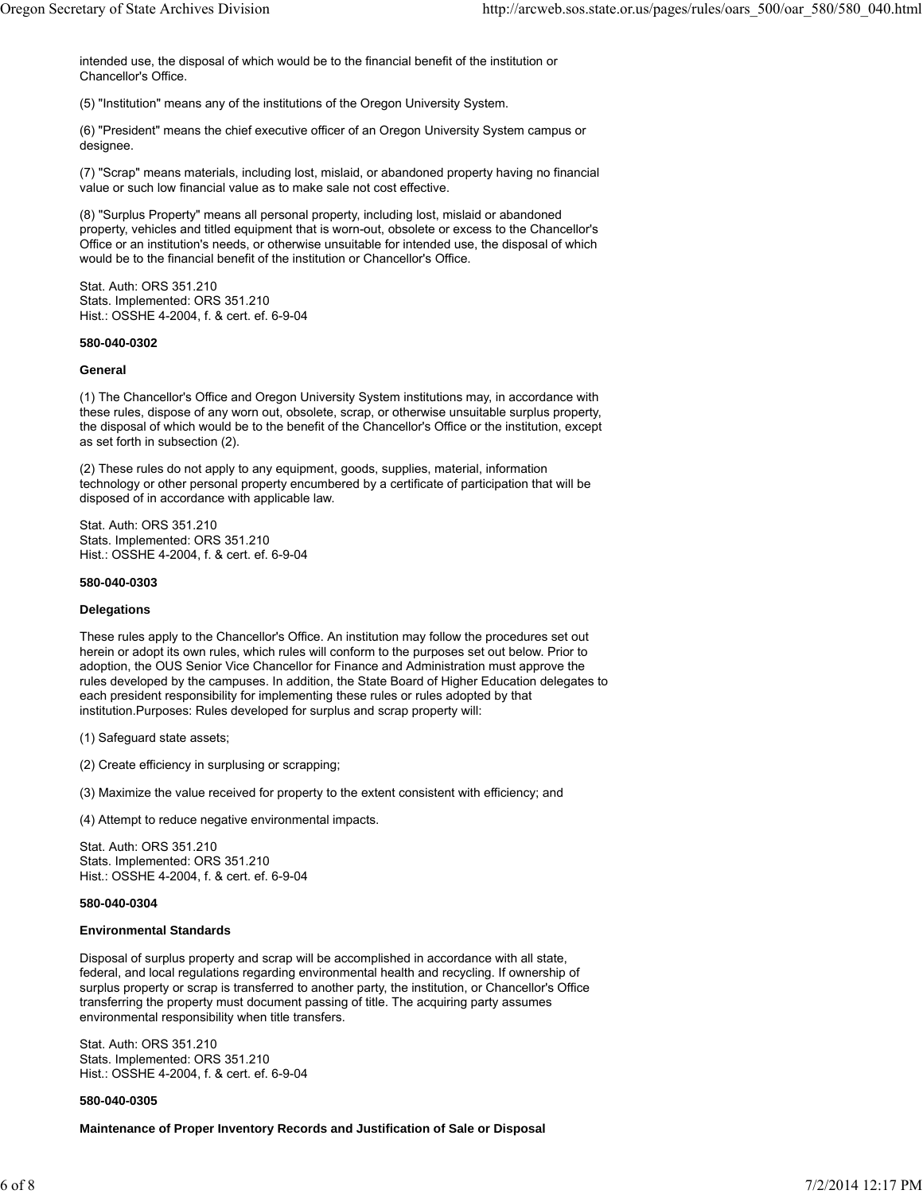intended use, the disposal of which would be to the financial benefit of the institution or Chancellor's Office.

(5) "Institution" means any of the institutions of the Oregon University System.

(6) "President" means the chief executive officer of an Oregon University System campus or designee.

(7) "Scrap" means materials, including lost, mislaid, or abandoned property having no financial value or such low financial value as to make sale not cost effective.

(8) "Surplus Property" means all personal property, including lost, mislaid or abandoned property, vehicles and titled equipment that is worn-out, obsolete or excess to the Chancellor's Office or an institution's needs, or otherwise unsuitable for intended use, the disposal of which would be to the financial benefit of the institution or Chancellor's Office.

Stat. Auth: ORS 351.210 Stats. Implemented: ORS 351.210 Hist.: OSSHE 4-2004, f. & cert. ef. 6-9-04

## **580-040-0302**

## **General**

(1) The Chancellor's Office and Oregon University System institutions may, in accordance with these rules, dispose of any worn out, obsolete, scrap, or otherwise unsuitable surplus property, the disposal of which would be to the benefit of the Chancellor's Office or the institution, except as set forth in subsection (2).

(2) These rules do not apply to any equipment, goods, supplies, material, information technology or other personal property encumbered by a certificate of participation that will be disposed of in accordance with applicable law.

Stat. Auth: ORS 351.210 Stats. Implemented: ORS 351.210 Hist.: OSSHE 4-2004, f. & cert. ef. 6-9-04

## **580-040-0303**

## **Delegations**

These rules apply to the Chancellor's Office. An institution may follow the procedures set out herein or adopt its own rules, which rules will conform to the purposes set out below. Prior to adoption, the OUS Senior Vice Chancellor for Finance and Administration must approve the rules developed by the campuses. In addition, the State Board of Higher Education delegates to each president responsibility for implementing these rules or rules adopted by that institution.Purposes: Rules developed for surplus and scrap property will:

(1) Safeguard state assets;

(2) Create efficiency in surplusing or scrapping;

(3) Maximize the value received for property to the extent consistent with efficiency; and

(4) Attempt to reduce negative environmental impacts.

Stat. Auth: ORS 351.210 Stats. Implemented: ORS 351.210 Hist.: OSSHE 4-2004, f. & cert. ef. 6-9-04

## **580-040-0304**

## **Environmental Standards**

Disposal of surplus property and scrap will be accomplished in accordance with all state, federal, and local regulations regarding environmental health and recycling. If ownership of surplus property or scrap is transferred to another party, the institution, or Chancellor's Office transferring the property must document passing of title. The acquiring party assumes environmental responsibility when title transfers.

Stat. Auth: ORS 351.210 Stats. Implemented: ORS 351.210 Hist.: OSSHE 4-2004, f. & cert. ef. 6-9-04

## **580-040-0305**

**Maintenance of Proper Inventory Records and Justification of Sale or Disposal**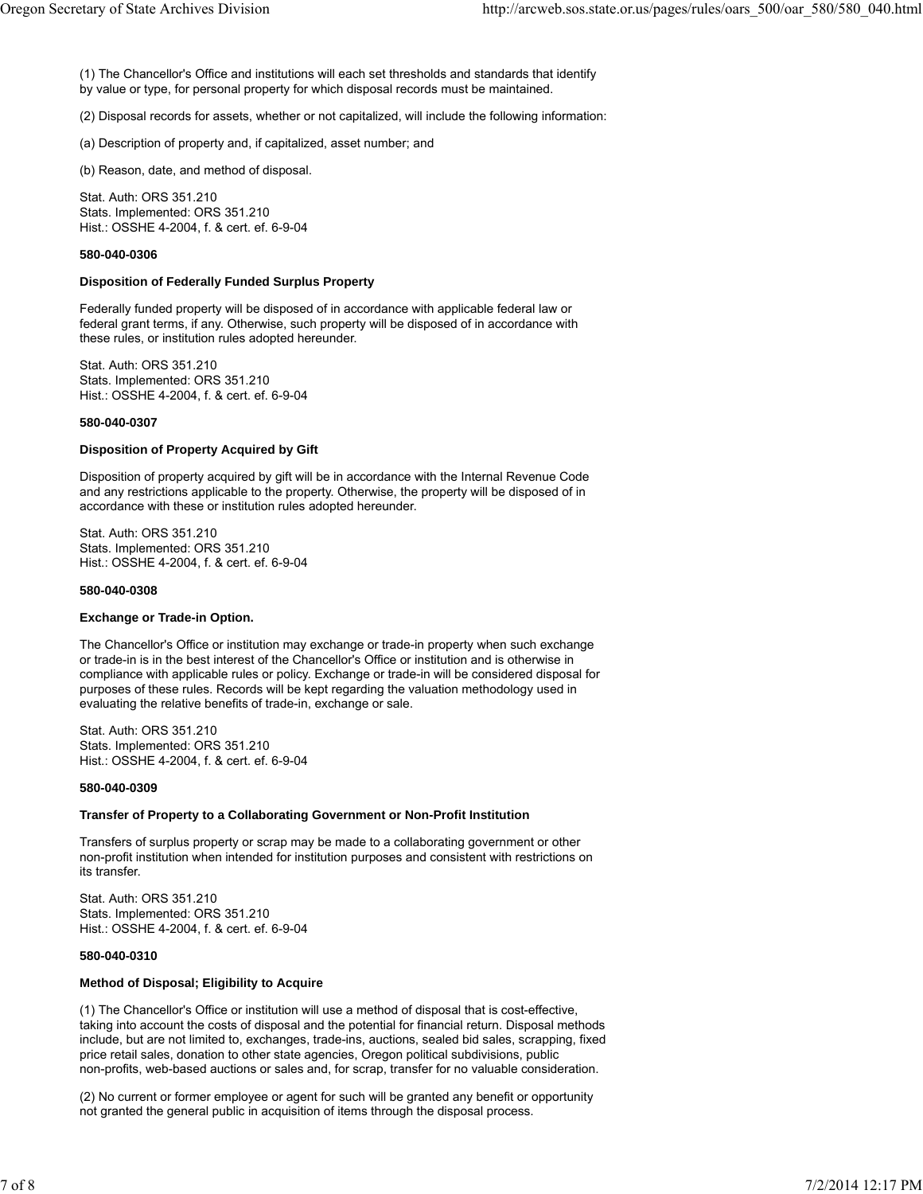(1) The Chancellor's Office and institutions will each set thresholds and standards that identify by value or type, for personal property for which disposal records must be maintained.

(2) Disposal records for assets, whether or not capitalized, will include the following information:

(a) Description of property and, if capitalized, asset number; and

(b) Reason, date, and method of disposal.

Stat. Auth: ORS 351.210 Stats. Implemented: ORS 351.210 Hist.: OSSHE 4-2004, f. & cert. ef. 6-9-04

# **580-040-0306**

#### **Disposition of Federally Funded Surplus Property**

Federally funded property will be disposed of in accordance with applicable federal law or federal grant terms, if any. Otherwise, such property will be disposed of in accordance with these rules, or institution rules adopted hereunder.

Stat. Auth: ORS 351.210 Stats. Implemented: ORS 351.210 Hist.: OSSHE 4-2004, f. & cert. ef. 6-9-04

#### **580-040-0307**

#### **Disposition of Property Acquired by Gift**

Disposition of property acquired by gift will be in accordance with the Internal Revenue Code and any restrictions applicable to the property. Otherwise, the property will be disposed of in accordance with these or institution rules adopted hereunder.

Stat. Auth: ORS 351.210 Stats. Implemented: ORS 351.210 Hist.: OSSHE 4-2004, f. & cert. ef. 6-9-04

#### **580-040-0308**

## **Exchange or Trade-in Option.**

The Chancellor's Office or institution may exchange or trade-in property when such exchange or trade-in is in the best interest of the Chancellor's Office or institution and is otherwise in compliance with applicable rules or policy. Exchange or trade-in will be considered disposal for purposes of these rules. Records will be kept regarding the valuation methodology used in evaluating the relative benefits of trade-in, exchange or sale.

Stat. Auth: ORS 351.210 Stats. Implemented: ORS 351.210 Hist.: OSSHE 4-2004, f. & cert. ef. 6-9-04

## **580-040-0309**

#### **Transfer of Property to a Collaborating Government or Non-Profit Institution**

Transfers of surplus property or scrap may be made to a collaborating government or other non-profit institution when intended for institution purposes and consistent with restrictions on its transfer.

Stat. Auth: ORS 351.210 Stats. Implemented: ORS 351.210 Hist.: OSSHE 4-2004, f. & cert. ef. 6-9-04

## **580-040-0310**

## **Method of Disposal; Eligibility to Acquire**

(1) The Chancellor's Office or institution will use a method of disposal that is cost-effective, taking into account the costs of disposal and the potential for financial return. Disposal methods include, but are not limited to, exchanges, trade-ins, auctions, sealed bid sales, scrapping, fixed price retail sales, donation to other state agencies, Oregon political subdivisions, public non-profits, web-based auctions or sales and, for scrap, transfer for no valuable consideration.

(2) No current or former employee or agent for such will be granted any benefit or opportunity not granted the general public in acquisition of items through the disposal process.